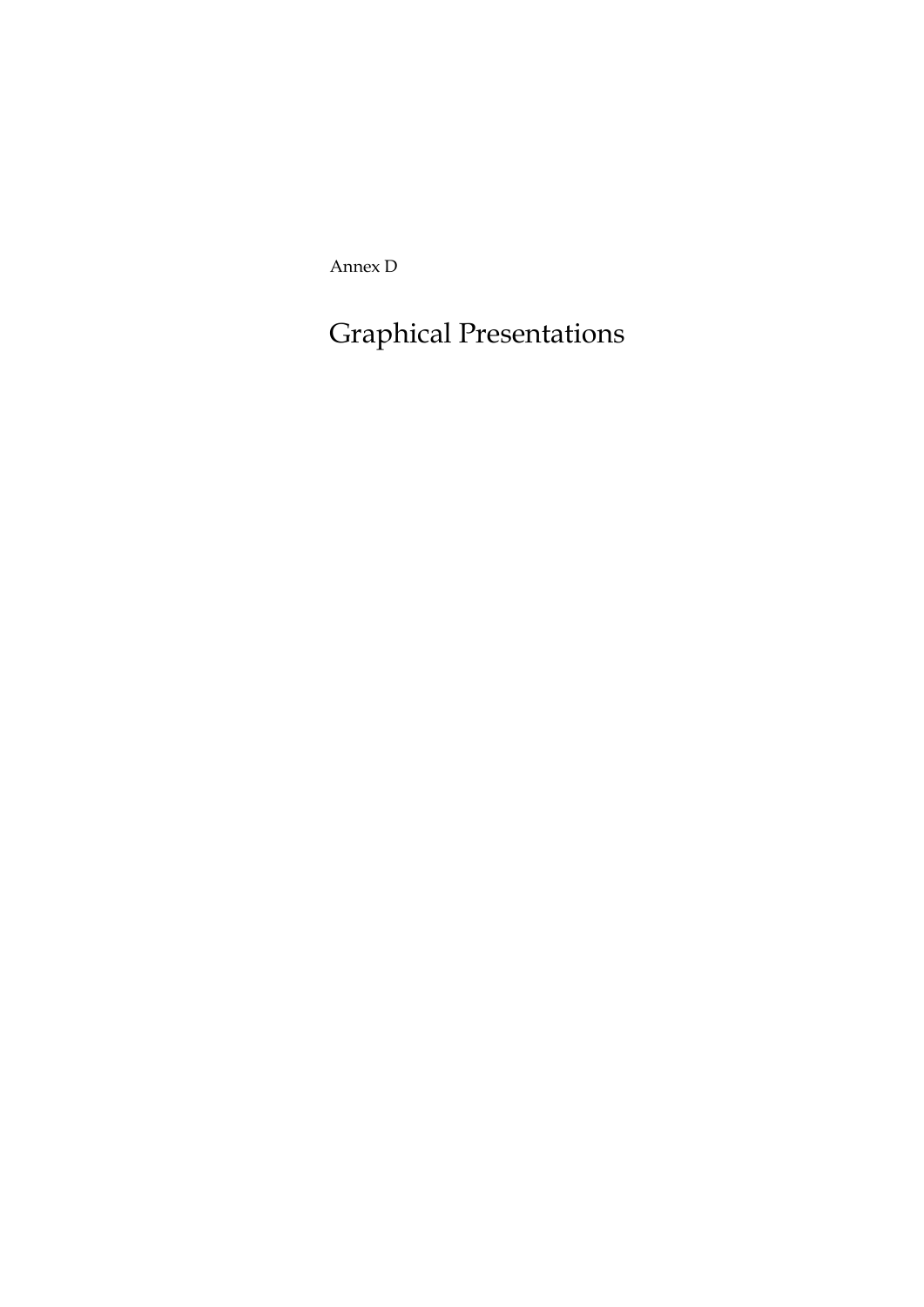Annex D

Graphical Presentations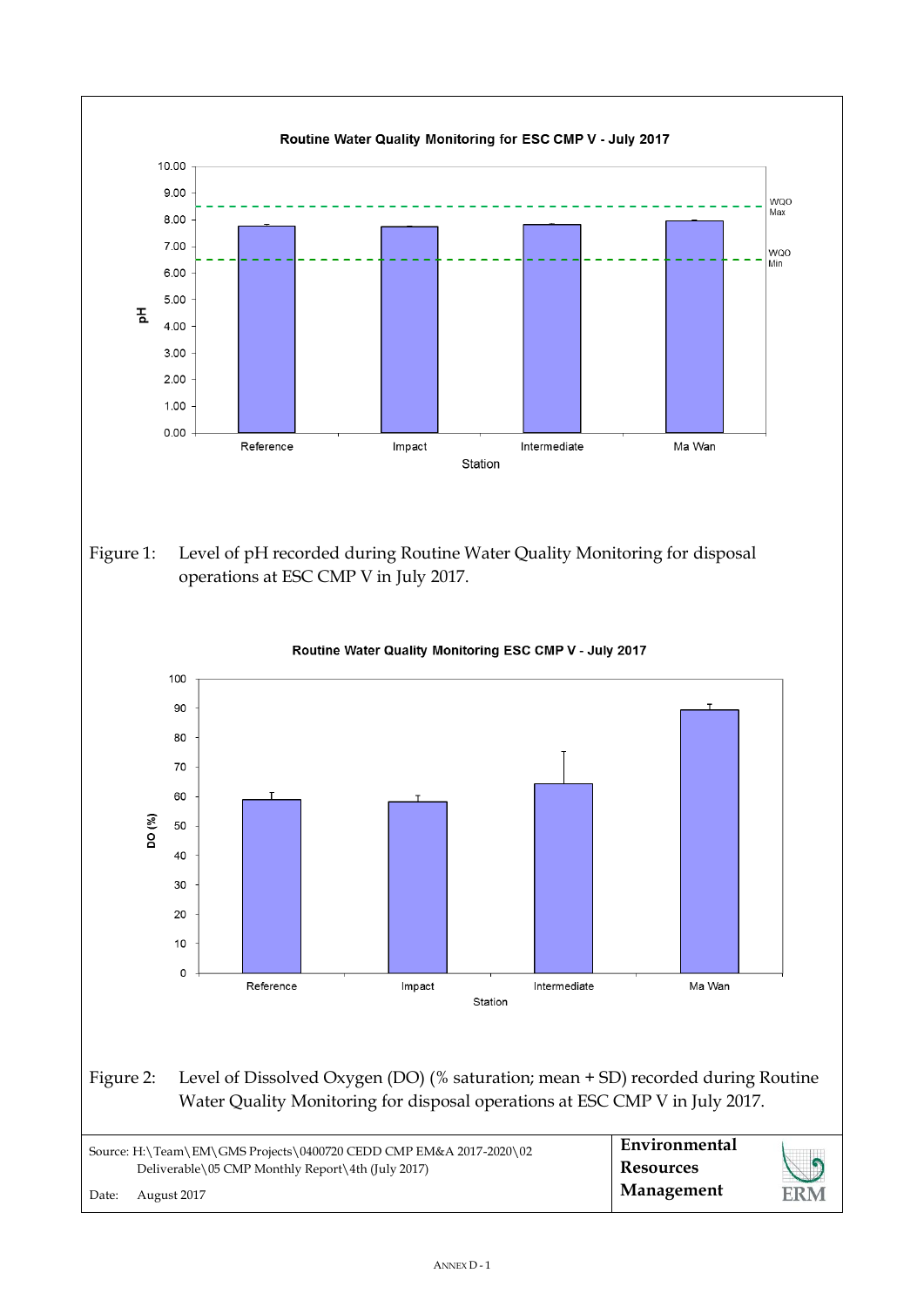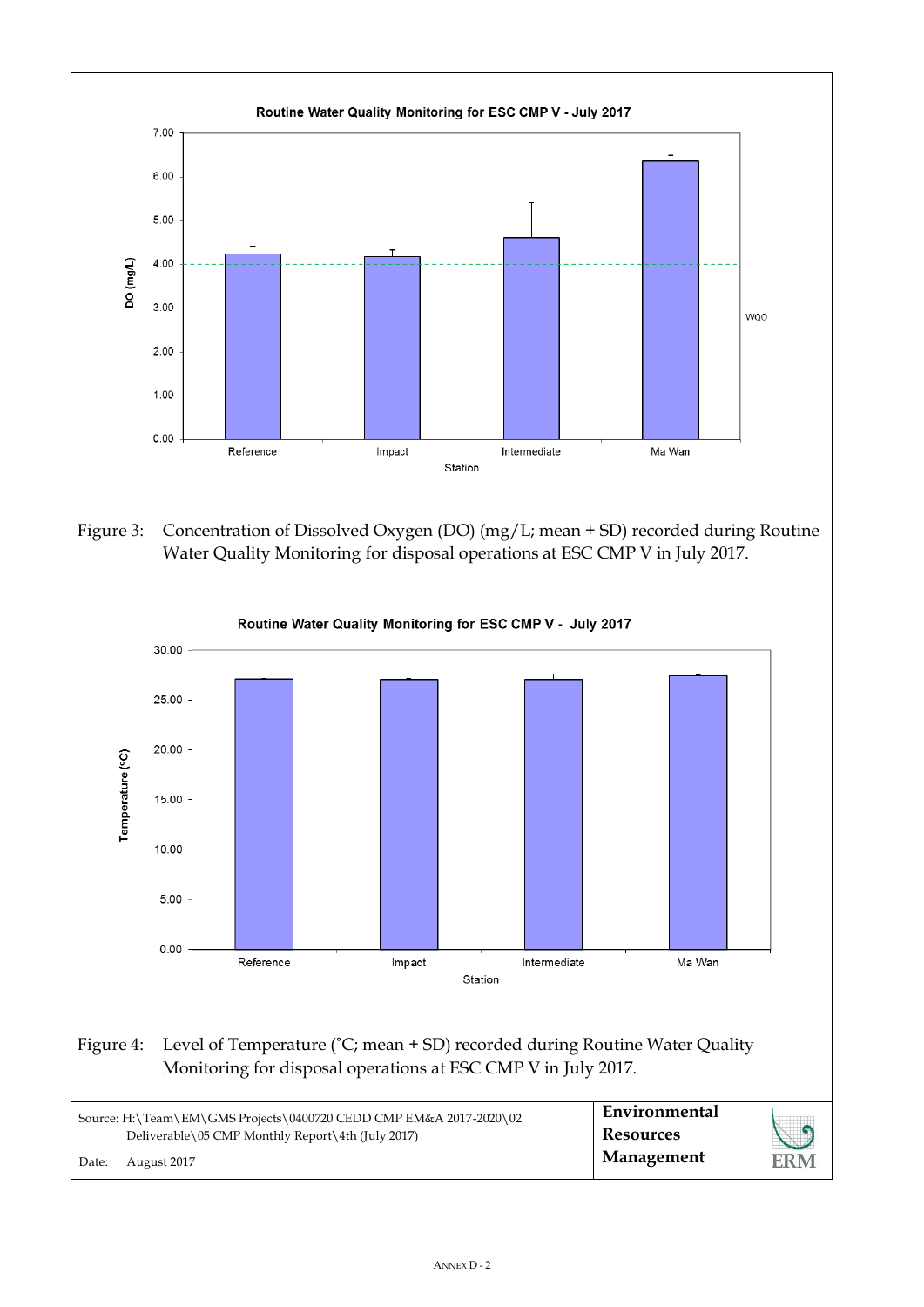![](_page_2_Figure_0.jpeg)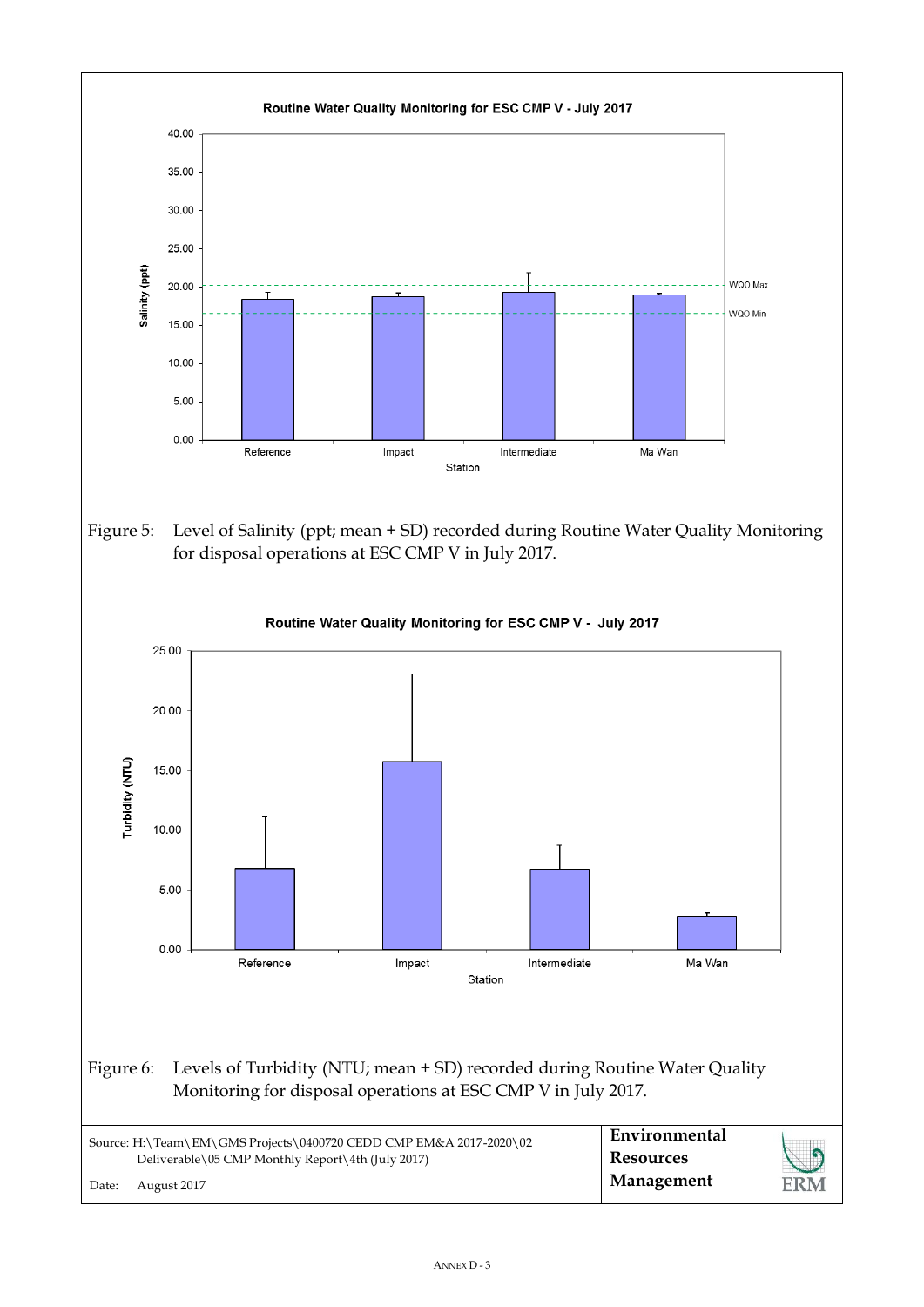![](_page_3_Figure_0.jpeg)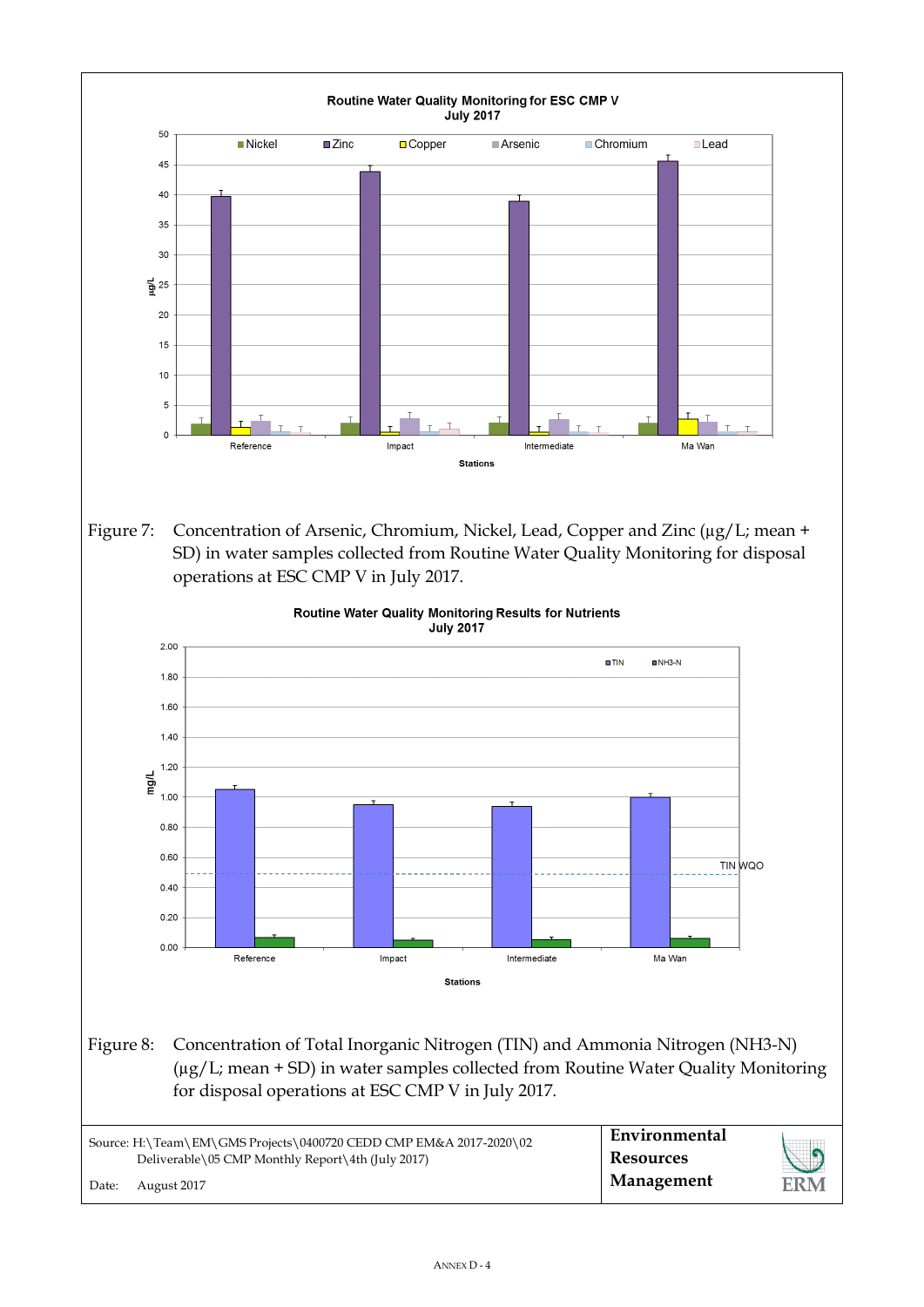![](_page_4_Figure_0.jpeg)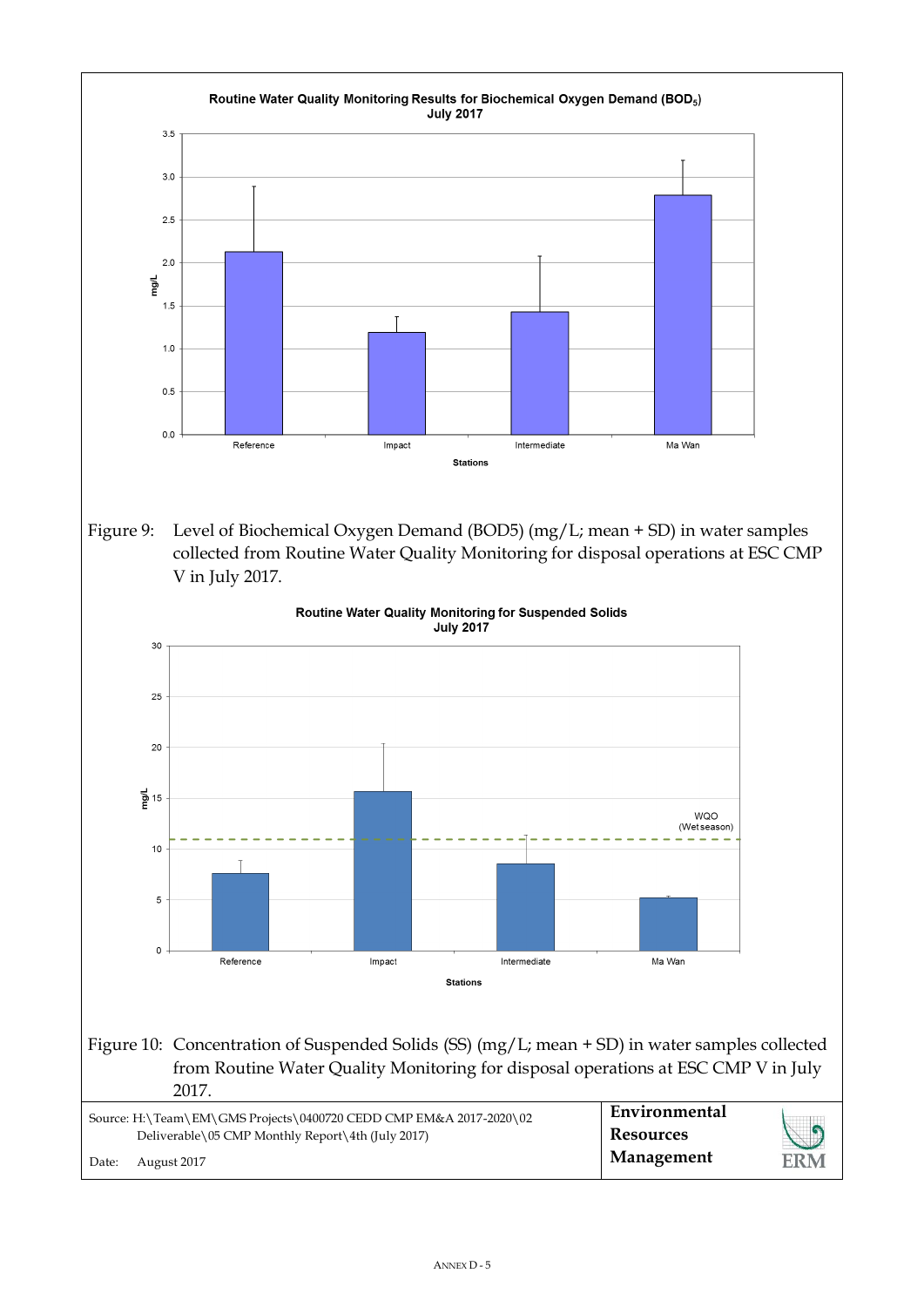![](_page_5_Figure_0.jpeg)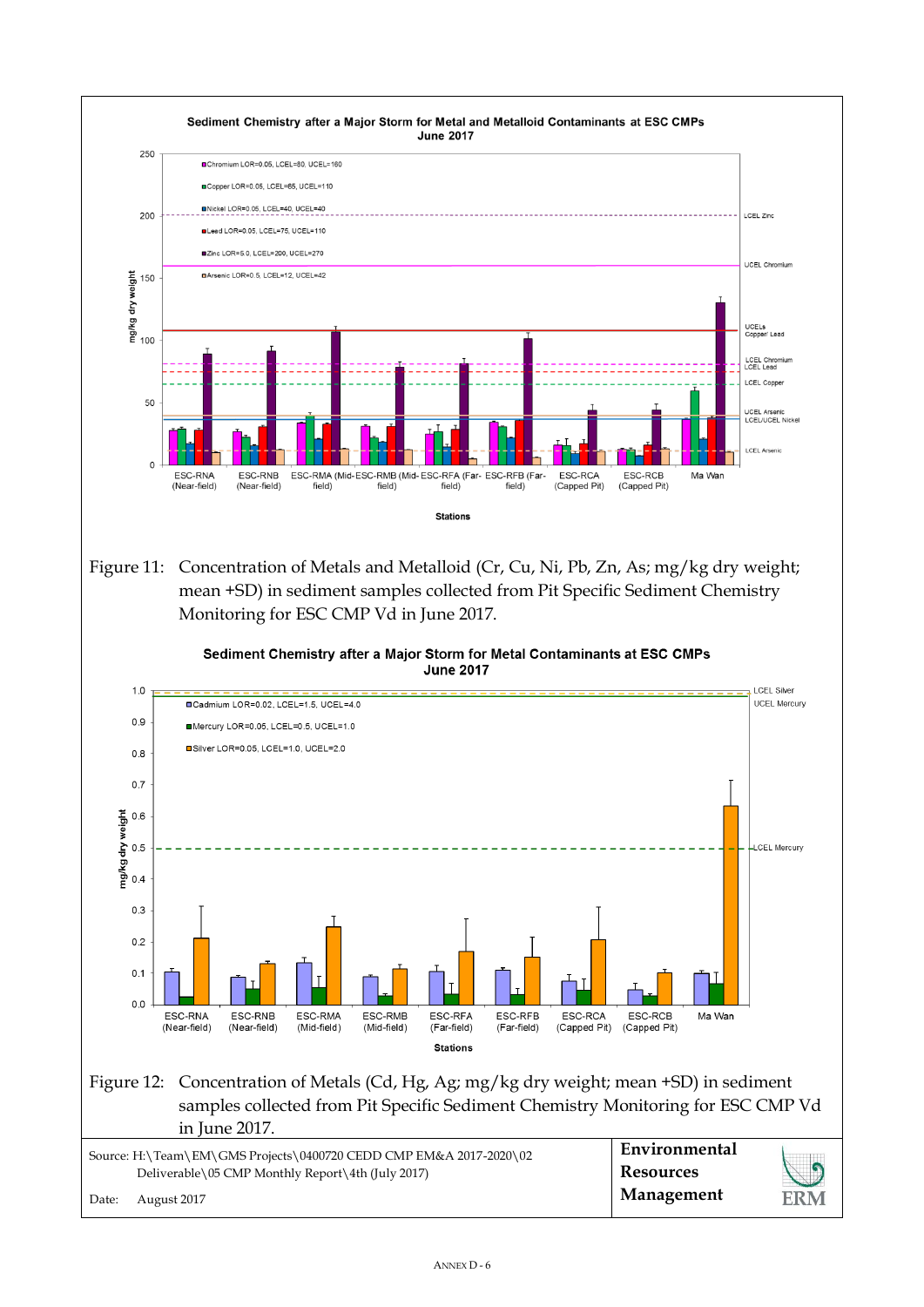![](_page_6_Figure_0.jpeg)

Figure 11: Concentration of Metals and Metalloid (Cr, Cu, Ni, Pb, Zn, As; mg/kg dry weight; mean +SD) in sediment samples collected from Pit Specific Sediment Chemistry Monitoring for ESC CMP Vd in June 2017.

 $1.0$ 

![](_page_6_Figure_2.jpeg)

![](_page_6_Figure_3.jpeg)

## Figure 12: Concentration of Metals (Cd, Hg, Ag; mg/kg dry weight; mean +SD) in sediment samples collected from Pit Specific Sediment Chemistry Monitoring for ESC CMP Vd in June 2017.

|       | Source: H:\Team\EM\GMS Projects\0400720 CEDD CMP EM&A 2017-2020\02 | Environmental |            |
|-------|--------------------------------------------------------------------|---------------|------------|
|       | Deliverable\05 CMP Monthly Report\4th (July 2017)                  | Resources     | $\sqrt{2}$ |
| Date: | August 2017                                                        | Management    | ERM        |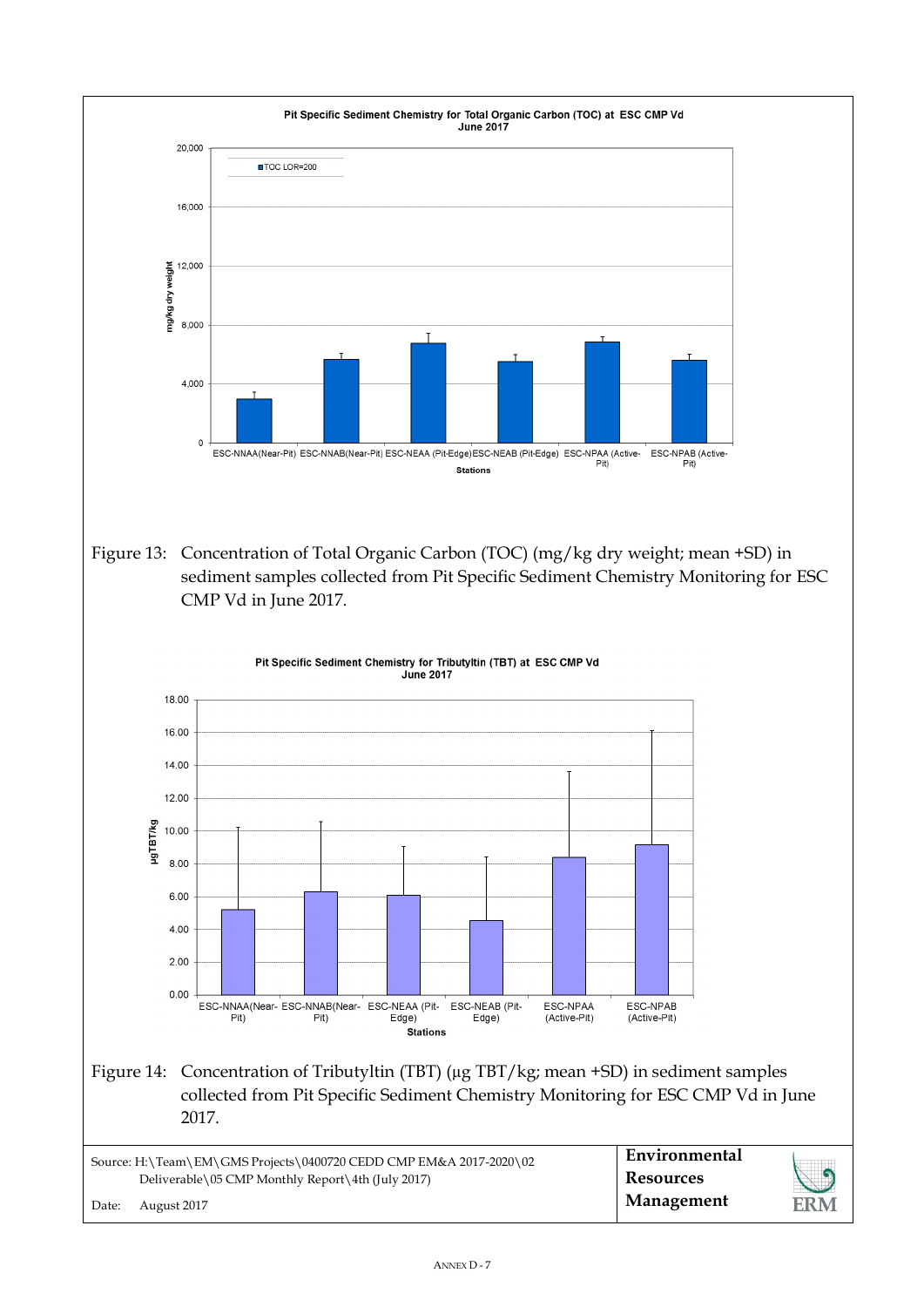![](_page_7_Figure_0.jpeg)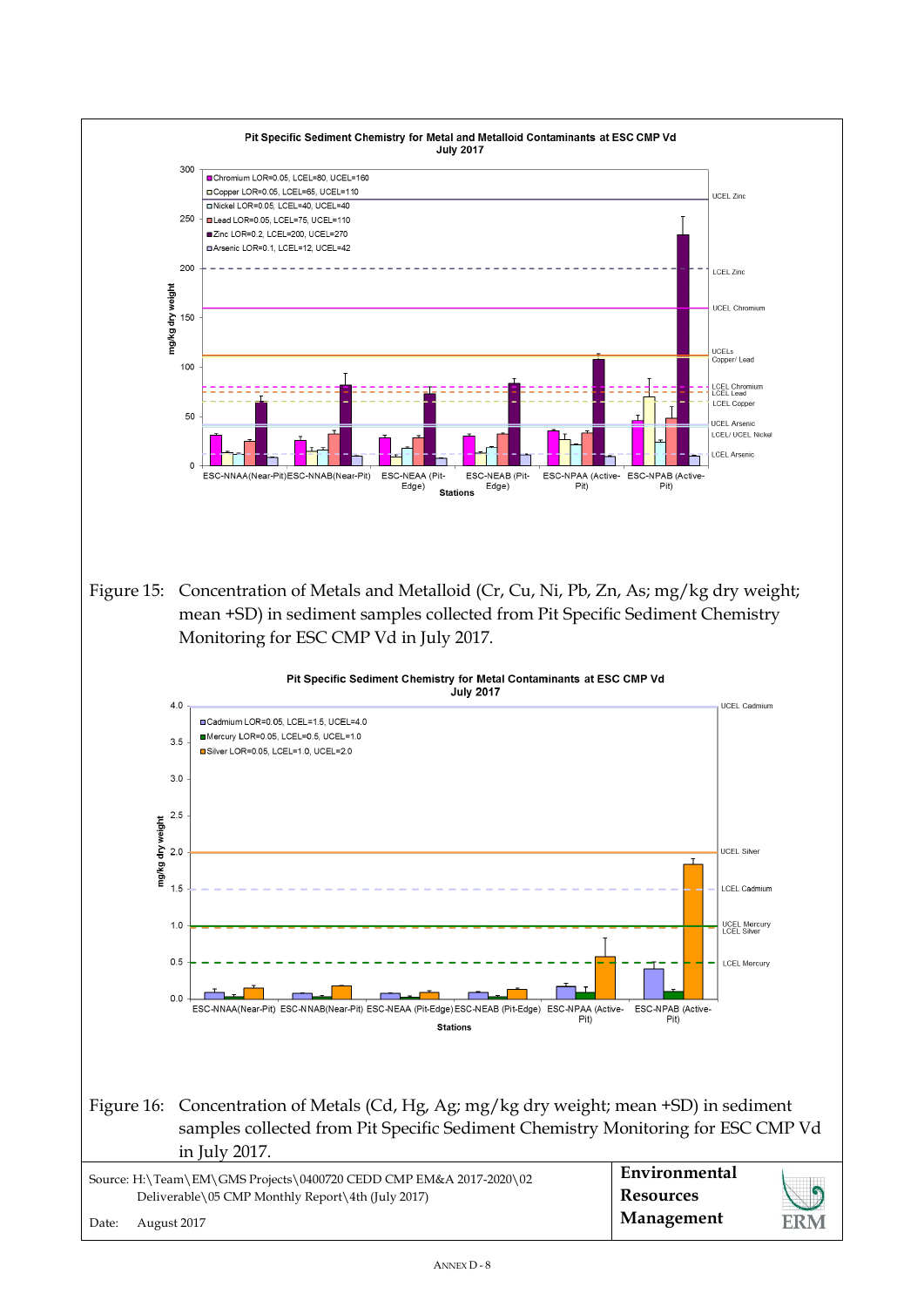![](_page_8_Figure_0.jpeg)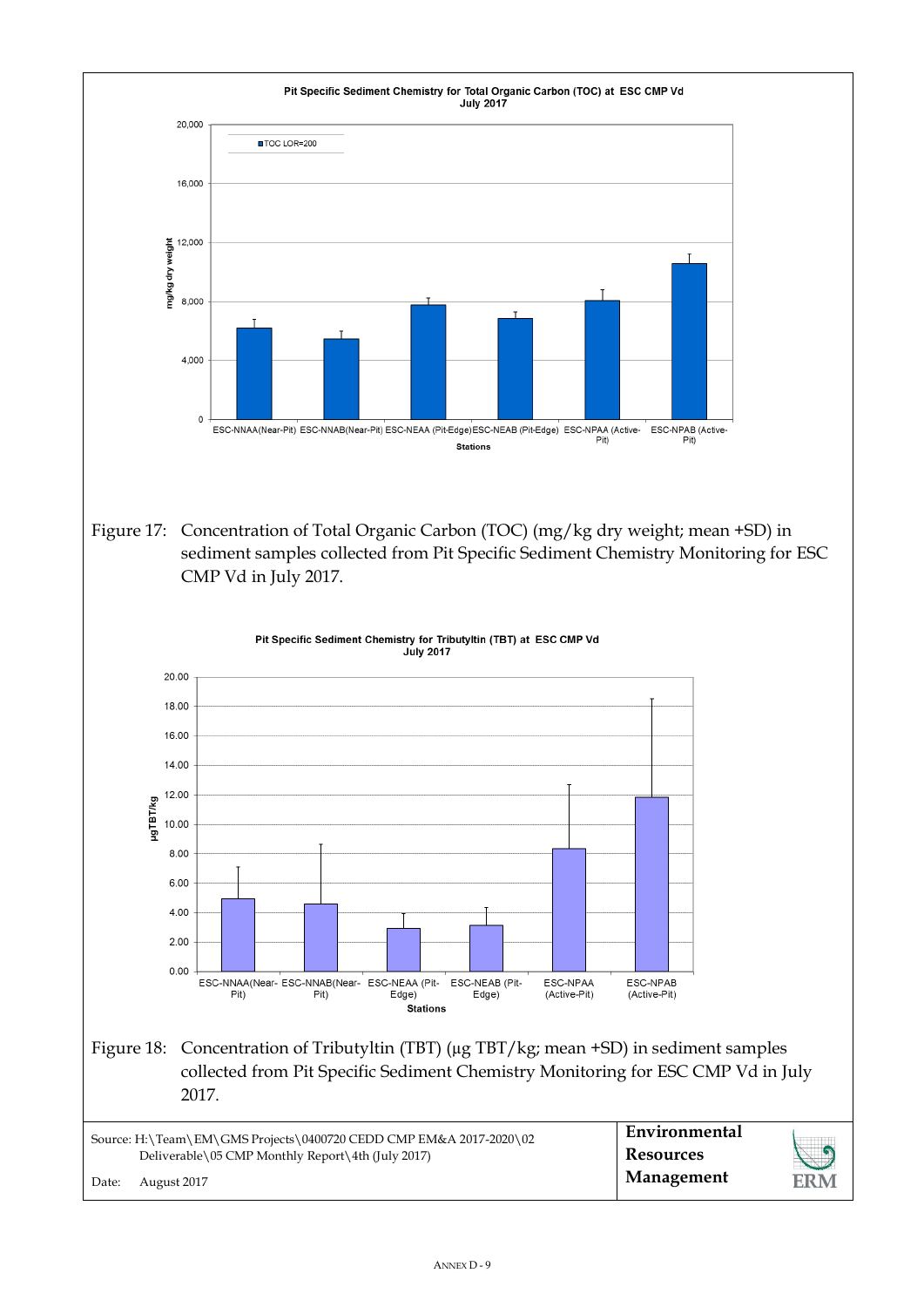![](_page_9_Figure_0.jpeg)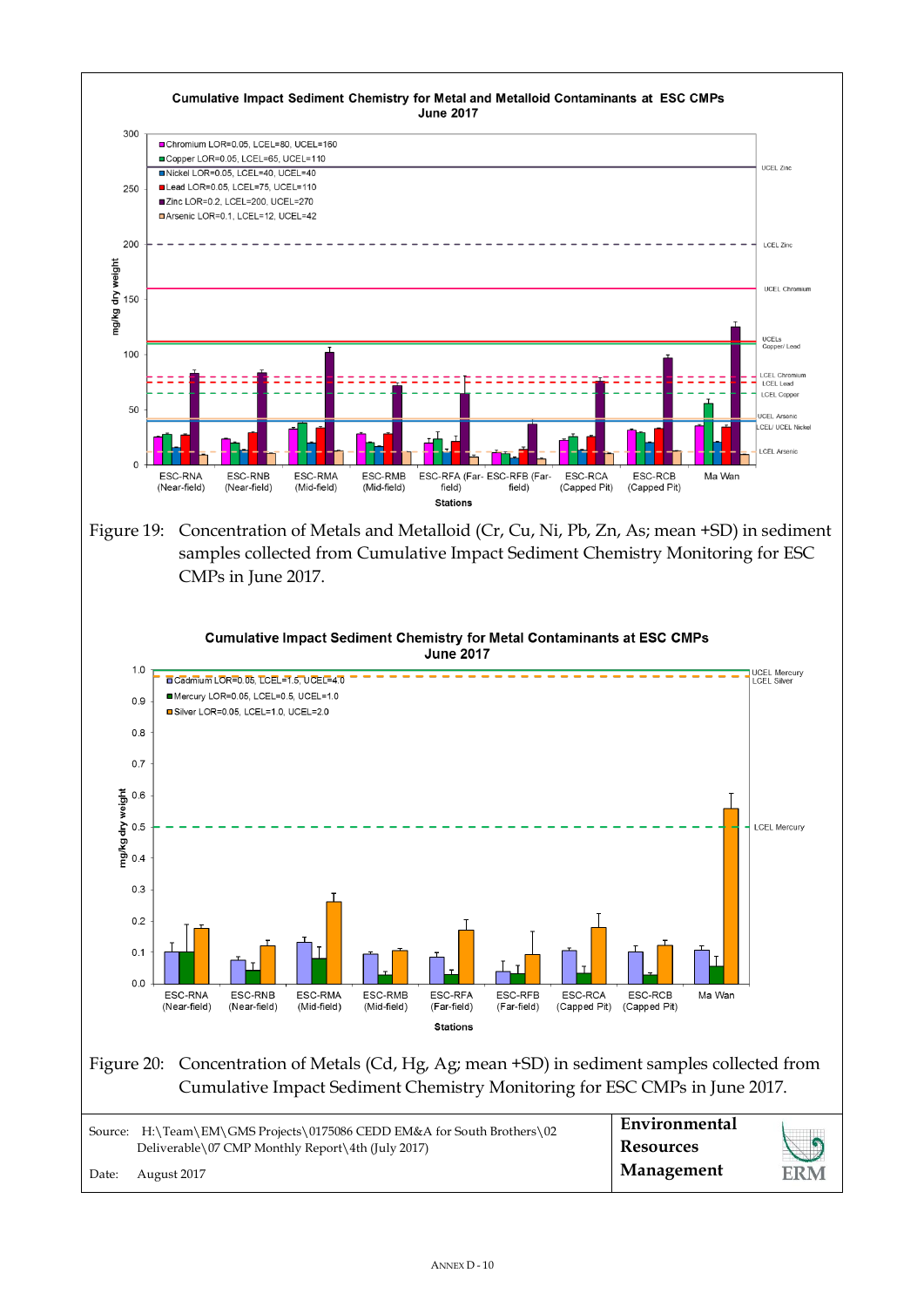![](_page_10_Figure_0.jpeg)

Figure 19: Concentration of Metals and Metalloid (Cr, Cu, Ni, Pb, Zn, As; mean +SD) in sediment samples collected from Cumulative Impact Sediment Chemistry Monitoring for ESC CMPs in June 2017.

![](_page_10_Figure_2.jpeg)

ANNEX D - 10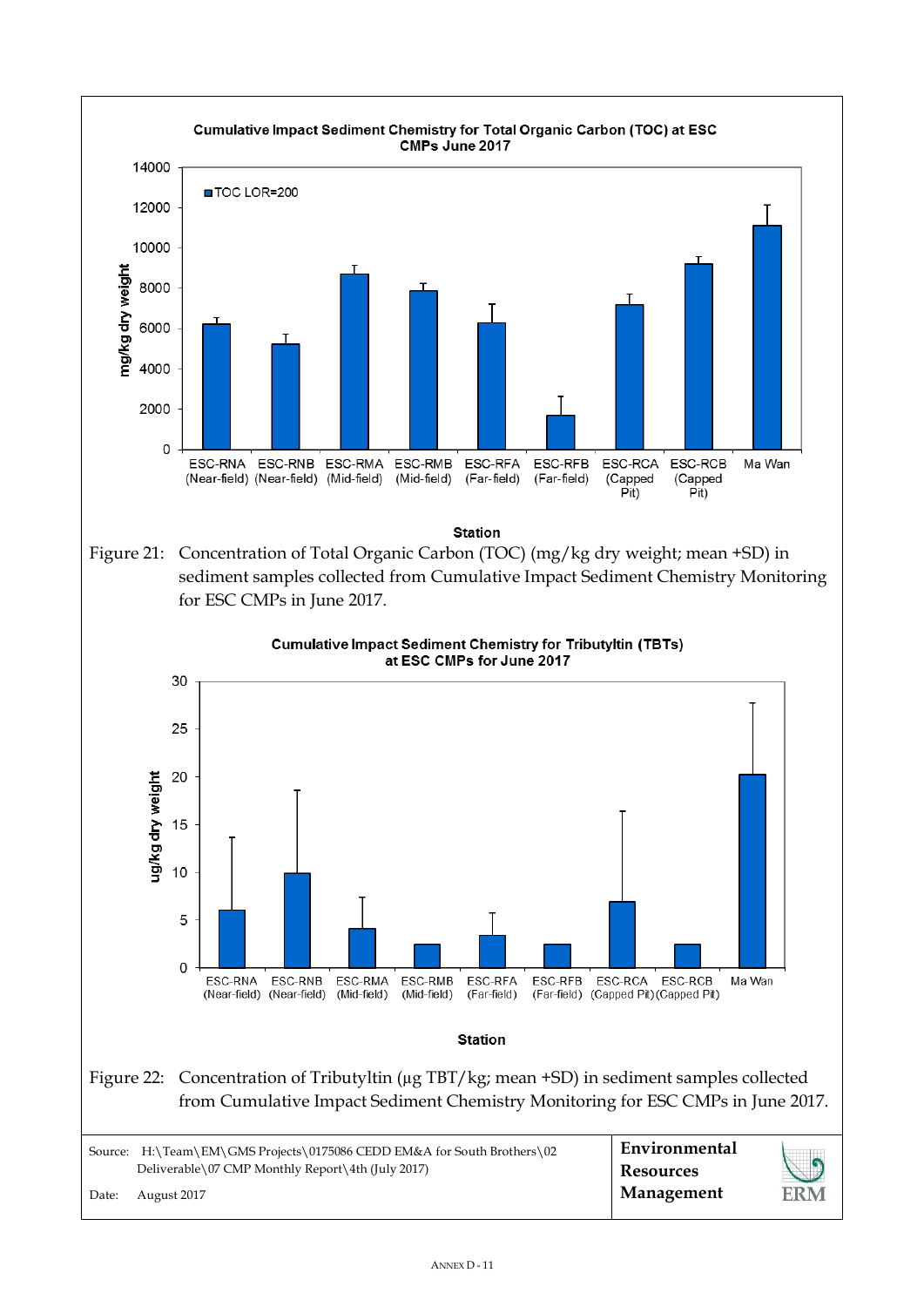![](_page_11_Figure_0.jpeg)